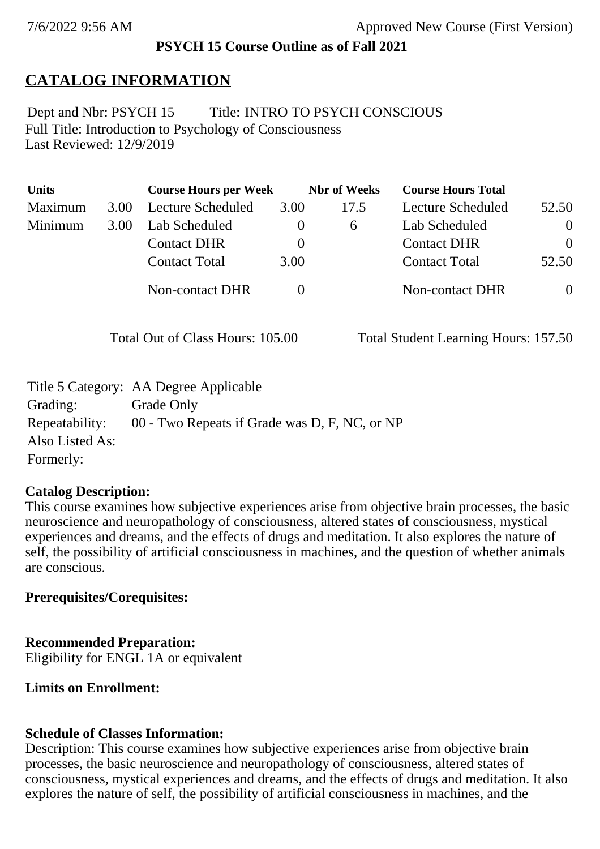## **PSYCH 15 Course Outline as of Fall 2021**

# **CATALOG INFORMATION**

Full Title: Introduction to Psychology of Consciousness Last Reviewed: 12/9/2019 Dept and Nbr: PSYCH 15 Title: INTRO TO PSYCH CONSCIOUS

| <b>Units</b> |      | <b>Course Hours per Week</b> |          | <b>Nbr</b> of Weeks | <b>Course Hours Total</b> |                |
|--------------|------|------------------------------|----------|---------------------|---------------------------|----------------|
| Maximum      | 3.00 | <b>Lecture Scheduled</b>     | 3.00     | 17.5                | Lecture Scheduled         | 52.50          |
| Minimum      | 3.00 | Lab Scheduled                | $\theta$ | 6                   | Lab Scheduled             | $\theta$       |
|              |      | <b>Contact DHR</b>           | $\theta$ |                     | <b>Contact DHR</b>        | $\Omega$       |
|              |      | <b>Contact Total</b>         | 3.00     |                     | <b>Contact Total</b>      | 52.50          |
|              |      | Non-contact DHR              |          |                     | <b>Non-contact DHR</b>    | $\overline{0}$ |

Total Out of Class Hours: 105.00 Total Student Learning Hours: 157.50

|                 | Title 5 Category: AA Degree Applicable        |
|-----------------|-----------------------------------------------|
| Grading:        | Grade Only                                    |
| Repeatability:  | 00 - Two Repeats if Grade was D, F, NC, or NP |
| Also Listed As: |                                               |
| Formerly:       |                                               |

### **Catalog Description:**

This course examines how subjective experiences arise from objective brain processes, the basic neuroscience and neuropathology of consciousness, altered states of consciousness, mystical experiences and dreams, and the effects of drugs and meditation. It also explores the nature of self, the possibility of artificial consciousness in machines, and the question of whether animals are conscious.

### **Prerequisites/Corequisites:**

### **Recommended Preparation:**

Eligibility for ENGL 1A or equivalent

# **Limits on Enrollment:**

# **Schedule of Classes Information:**

Description: This course examines how subjective experiences arise from objective brain processes, the basic neuroscience and neuropathology of consciousness, altered states of consciousness, mystical experiences and dreams, and the effects of drugs and meditation. It also explores the nature of self, the possibility of artificial consciousness in machines, and the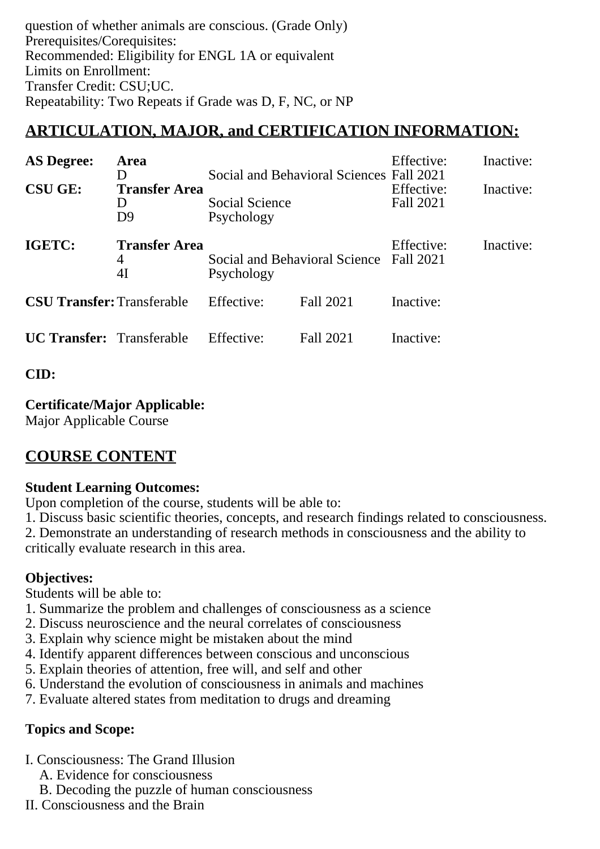question of whether animals are conscious. (Grade Only) Prerequisites/Corequisites: Recommended: Eligibility for ENGL 1A or equivalent Limits on Enrollment: Transfer Credit: CSU;UC. Repeatability: Two Repeats if Grade was D, F, NC, or NP

# **ARTICULATION, MAJOR, and CERTIFICATION INFORMATION:**

| <b>AS Degree:</b><br>Area<br>I)<br><b>CSU GE:</b><br><b>Transfer Area</b><br>I)<br>D <sub>9</sub> |                                                                                                       | Social and Behavioral Sciences Fall 2021<br>Social Science<br>Psychology |           | Effective:<br>Effective:<br>Fall 2021 | Inactive:<br>Inactive: |
|---------------------------------------------------------------------------------------------------|-------------------------------------------------------------------------------------------------------|--------------------------------------------------------------------------|-----------|---------------------------------------|------------------------|
| IGETC:                                                                                            | <b>Transfer Area</b><br>Social and Behavioral Science Fall 2021<br>$\overline{4}$<br>4I<br>Psychology |                                                                          |           | Effective:                            | Inactive:              |
| <b>CSU Transfer:</b> Transferable                                                                 |                                                                                                       | Effective:                                                               | Fall 2021 | Inactive:                             |                        |
| <b>UC Transfer:</b> Transferable                                                                  |                                                                                                       | Effective:                                                               | Fall 2021 | Inactive:                             |                        |

#### **CID:**

#### **Certificate/Major Applicable:**

[Major Applicable Course](SR_ClassCheck.aspx?CourseKey=PSYCH15)

# **COURSE CONTENT**

#### **Student Learning Outcomes:**

Upon completion of the course, students will be able to:

1. Discuss basic scientific theories, concepts, and research findings related to consciousness.

2. Demonstrate an understanding of research methods in consciousness and the ability to critically evaluate research in this area.

#### **Objectives:**

Students will be able to:

- 1. Summarize the problem and challenges of consciousness as a science
- 2. Discuss neuroscience and the neural correlates of consciousness
- 3. Explain why science might be mistaken about the mind
- 4. Identify apparent differences between conscious and unconscious
- 5. Explain theories of attention, free will, and self and other
- 6. Understand the evolution of consciousness in animals and machines
- 7. Evaluate altered states from meditation to drugs and dreaming

### **Topics and Scope:**

- I. Consciousness: The Grand Illusion
	- A. Evidence for consciousness
	- B. Decoding the puzzle of human consciousness
- II. Consciousness and the Brain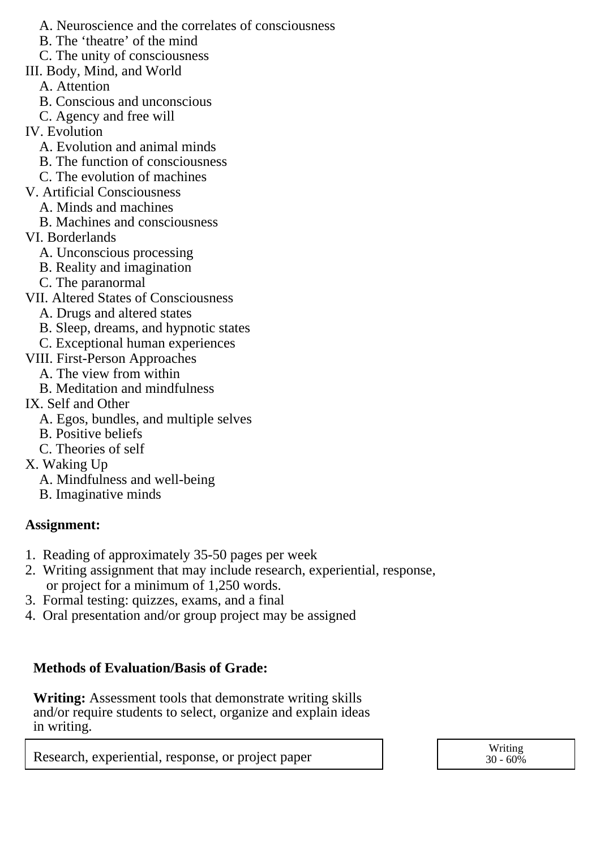A. Neuroscience and the correlates of consciousness

B. The 'theatre' of the mind

C. The unity of consciousness

III. Body, Mind, and World

A. Attention

- B. Conscious and unconscious
- C. Agency and free will
- IV. Evolution
	- A. Evolution and animal minds
	- B. The function of consciousness
	- C. The evolution of machines
- V. Artificial Consciousness
	- A. Minds and machines
		- B. Machines and consciousness
- VI. Borderlands
	- A. Unconscious processing
	- B. Reality and imagination
	- C. The paranormal
- VII. Altered States of Consciousness
	- A. Drugs and altered states
	- B. Sleep, dreams, and hypnotic states
	- C. Exceptional human experiences
- VIII. First-Person Approaches
	- A. The view from within
- B. Meditation and mindfulness
- IX. Self and Other
	- A. Egos, bundles, and multiple selves
	- B. Positive beliefs
	- C. Theories of self
- X. Waking Up
	- A. Mindfulness and well-being
	- B. Imaginative minds

#### **Assignment:**

- 1. Reading of approximately 35-50 pages per week
- 2. Writing assignment that may include research, experiential, response, or project for a minimum of 1,250 words.
- 3. Formal testing: quizzes, exams, and a final
- 4. Oral presentation and/or group project may be assigned

### **Methods of Evaluation/Basis of Grade:**

**Writing:** Assessment tools that demonstrate writing skills and/or require students to select, organize and explain ideas in writing.

Research, experiential, response, or project paper and the set of the second vertiling writing

 $30 - 60\%$